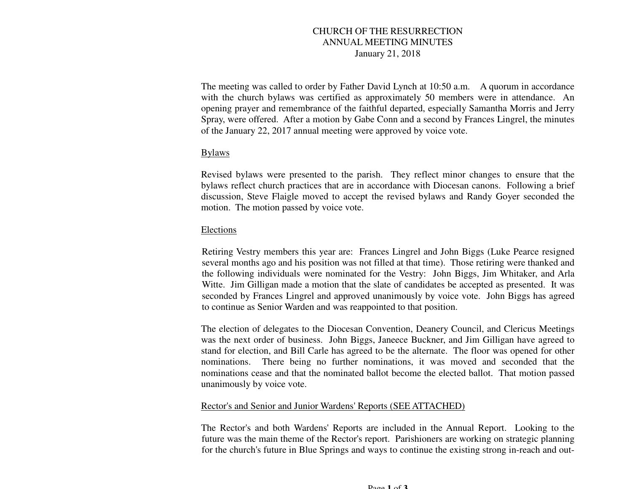# CHURCH OF THE RESURRECTION ANNUAL MEETING MINUTES January 21, 2018

The meeting was called to order by Father David Lynch at 10:50 a.m. A quorum in accordance with the church bylaws was certified as approximately 50 members were in attendance. An opening prayer and remembrance of the faithful departed, especially Samantha Morris and Jerry Spray, were offered. After a motion by Gabe Conn and a second by Frances Lingrel, the minutes of the January 22, 2017 annual meeting were approved by voice vote.

# Bylaws

Revised bylaws were presented to the parish. They reflect minor changes to ensure that the bylaws reflect church practices that are in accordance with Diocesan canons. Following a brief discussion, Steve Flaigle moved to accept the revised bylaws and Randy Goyer seconded the motion. The motion passed by voice vote.

#### Elections

Retiring Vestry members this year are: Frances Lingrel and John Biggs (Luke Pearce resigned several months ago and his position was not filled at that time). Those retiring were thanked and the following individuals were nominated for the Vestry: John Biggs, Jim Whitaker, and Arla Witte. Jim Gilligan made a motion that the slate of candidates be accepted as presented. It was seconded by Frances Lingrel and approved unanimously by voice vote. John Biggs has agreed to continue as Senior Warden and was reappointed to that position.

The election of delegates to the Diocesan Convention, Deanery Council, and Clericus Meetings was the next order of business. John Biggs, Janeece Buckner, and Jim Gilligan have agreed to stand for election, and Bill Carle has agreed to be the alternate. The floor was opened for other nominations. There being no further nominations, it was moved and seconded that the nominations cease and that the nominated ballot become the elected ballot. That motion passed unanimously by voice vote.

#### Rector's and Senior and Junior Wardens' Reports (SEE ATTACHED)

The Rector's and both Wardens' Reports are included in the Annual Report. Looking to the future was the main theme of the Rector's report. Parishioners are working on strategic planning for the church's future in Blue Springs and ways to continue the existing strong in-reach and out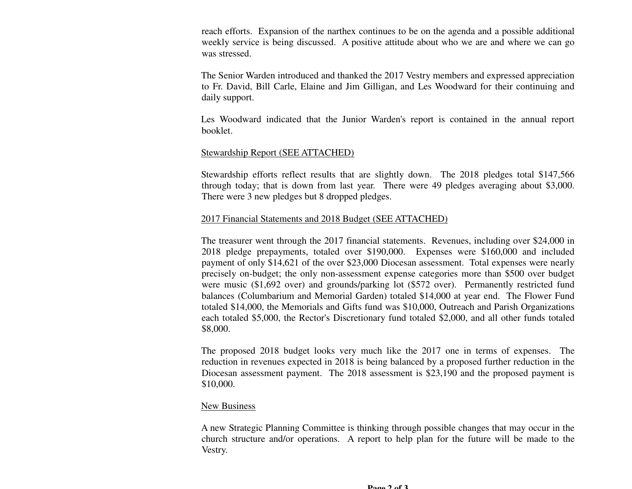reach efforts. Expansion of the narthex continues to be on the agenda and a possible additional weekly service is being discussed. A positive attitude about who we are and where we can go was stressed.

The Senior Warden introduced and thanked the 2017 Vestry members and expressed appreciation to Fr. David, Bill Carle, Elaine and Jim Gilligan, and Les Woodward for their continuing and daily support.

Les Woodward indicated that the Junior Warden's report is contained in the annual report booklet.

### Stewardship Report (SEE ATTACHED)

Stewardship efforts reflect results that are slightly down. The 2018 pledges total \$147,566 through today; that is down from last year. There were 49 pledges averaging about \$3,000. There were 3 new pledges but 8 dropped pledges.

### 2017 Financial Statements and 2018 Budget (SEE ATTACHED)

The treasurer went through the 2017 financial statements. Revenues, including over \$24,000 in 2018 pledge prepayments, totaled over \$190,000. Expenses were \$160,000 and included payment of only \$14,621 of the over \$23,000 Diocesan assessment. Total expenses were nearly precisely on-budget; the only non-assessment expense categories more than \$500 over budget were music (\$1,692 over) and grounds/parking lot (\$572 over). Permanently restricted fund balances (Columbarium and Memorial Garden) totaled \$14,000 at year end. The Flower Fund totaled \$14,000, the Memorials and Gifts fund was \$10,000, Outreach and Parish Organizations each totaled \$5,000, the Rector's Discretionary fund totaled \$2,000, and all other funds totaled \$8,000.

The proposed 2018 budget looks very much like the 2017 one in terms of expenses. The reduction in revenues expected in 2018 is being balanced by a proposed further reduction in the Diocesan assessment payment. The 2018 assessment is \$23,190 and the proposed payment is \$10,000.

#### New Business

A new Strategic Planning Committee is thinking through possible changes that may occur in the church structure and/or operations. A report to help plan for the future will be made to the Vestry.